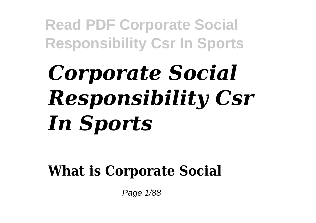# *Corporate Social Responsibility Csr In Sports*

**What is Corporate Social**

Page 1/88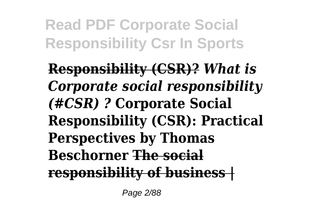**Responsibility (CSR)?** *What is Corporate social responsibility (#CSR) ?* **Corporate Social Responsibility (CSR): Practical Perspectives by Thomas Beschorner The social responsibility of business |**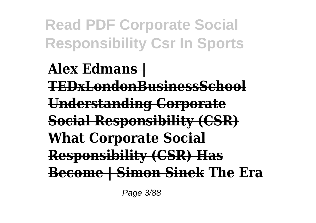**Alex Edmans | TEDxLondonBusinessSchool Understanding Corporate Social Responsibility (CSR) What Corporate Social Responsibility (CSR) Has Become | Simon Sinek The Era**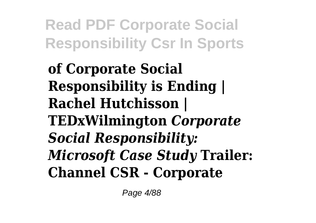**of Corporate Social Responsibility is Ending | Rachel Hutchisson | TEDxWilmington** *Corporate Social Responsibility: Microsoft Case Study* **Trailer: Channel CSR - Corporate**

Page 4/88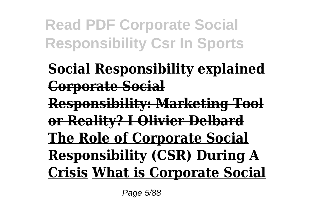**Social Responsibility explained Corporate Social Responsibility: Marketing Tool or Reality? I Olivier Delbard The Role of Corporate Social Responsibility (CSR) During A Crisis What is Corporate Social**

Page 5/88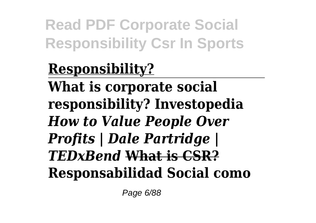**Responsibility? What is corporate social responsibility? Investopedia** *How to Value People Over Profits | Dale Partridge | TEDxBend* **What is CSR? Responsabilidad Social como**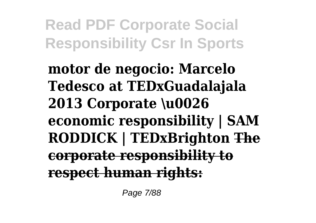**motor de negocio: Marcelo Tedesco at TEDxGuadalajala 2013 Corporate \u0026 economic responsibility | SAM RODDICK | TEDxBrighton The corporate responsibility to respect human rights:**

Page 7/88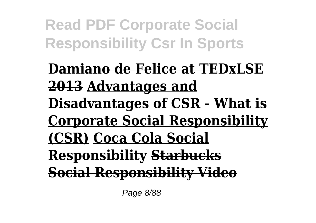**Damiano de Felice at TEDxLSE 2013 Advantages and Disadvantages of CSR - What is Corporate Social Responsibility (CSR) Coca Cola Social Responsibility Starbucks Social Responsibility Video**

Page 8/88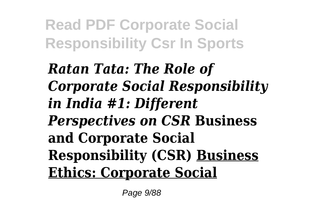*Ratan Tata: The Role of Corporate Social Responsibility in India #1: Different Perspectives on CSR* **Business and Corporate Social Responsibility (CSR) Business Ethics: Corporate Social**

Page 9/88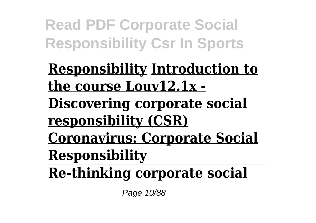**Responsibility Introduction to the course Louv12.1x - Discovering corporate social responsibility (CSR) Coronavirus: Corporate Social Responsibility**

**Re-thinking corporate social**

Page 10/88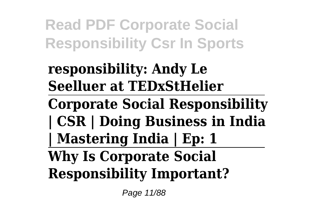#### **responsibility: Andy Le Seelluer at TEDxStHelier**

**Corporate Social Responsibility | CSR | Doing Business in India | Mastering India | Ep: 1**

#### **Why Is Corporate Social Responsibility Important?**

Page 11/88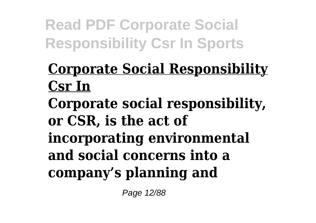#### **Corporate Social Responsibility Csr In**

**Corporate social responsibility, or CSR, is the act of incorporating environmental and social concerns into a company's planning and**

Page 12/88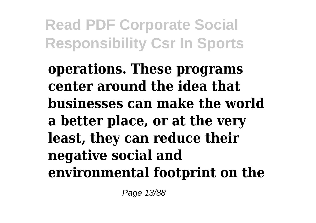**operations. These programs center around the idea that businesses can make the world a better place, or at the very least, they can reduce their negative social and environmental footprint on the**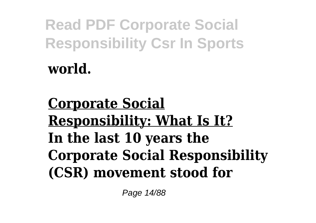**Corporate Social Responsibility: What Is It? In the last 10 years the Corporate Social Responsibility (CSR) movement stood for**

Page 14/88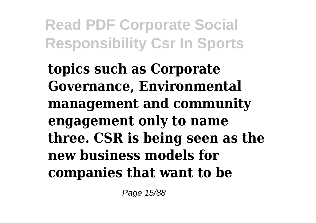**topics such as Corporate Governance, Environmental management and community engagement only to name three. CSR is being seen as the new business models for companies that want to be**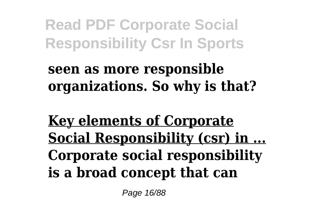#### **seen as more responsible organizations. So why is that?**

**Key elements of Corporate Social Responsibility (csr) in ... Corporate social responsibility is a broad concept that can**

Page 16/88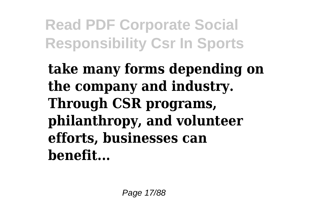**take many forms depending on the company and industry. Through CSR programs, philanthropy, and volunteer efforts, businesses can benefit...**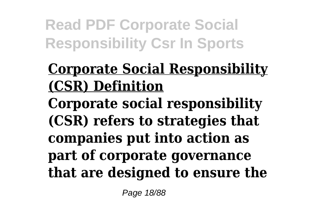#### **Corporate Social Responsibility (CSR) Definition**

**Corporate social responsibility (CSR) refers to strategies that companies put into action as part of corporate governance that are designed to ensure the**

Page 18/88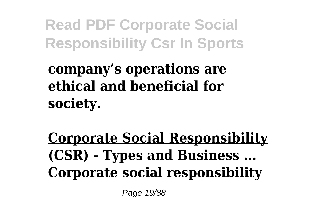**company's operations are ethical and beneficial for society.**

**Corporate Social Responsibility (CSR) - Types and Business ... Corporate social responsibility**

Page 19/88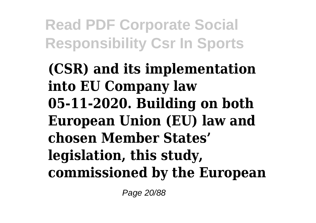**(CSR) and its implementation into EU Company law 05-11-2020. Building on both European Union (EU) law and chosen Member States' legislation, this study, commissioned by the European**

Page 20/88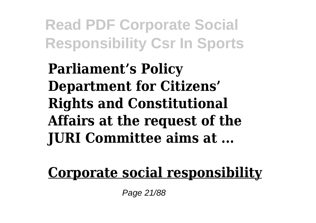**Parliament's Policy Department for Citizens' Rights and Constitutional Affairs at the request of the JURI Committee aims at ...**

#### **Corporate social responsibility**

Page 21/88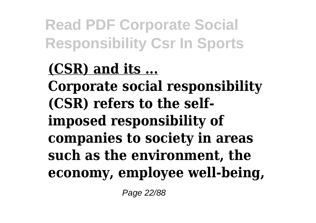**(CSR) and its ... Corporate social responsibility (CSR) refers to the selfimposed responsibility of companies to society in areas such as the environment, the economy, employee well-being,**

Page 22/88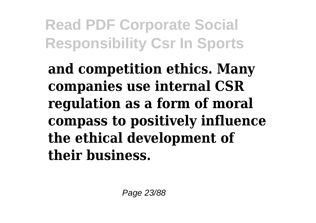**and competition ethics. Many companies use internal CSR regulation as a form of moral compass to positively influence the ethical development of their business.**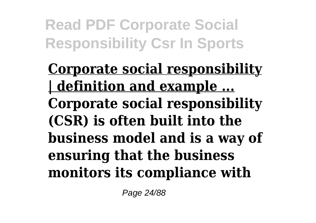**Corporate social responsibility | definition and example ... Corporate social responsibility (CSR) is often built into the business model and is a way of ensuring that the business monitors its compliance with**

Page 24/88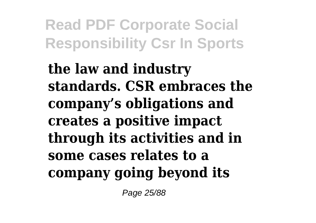**the law and industry standards. CSR embraces the company's obligations and creates a positive impact through its activities and in some cases relates to a company going beyond its**

Page 25/88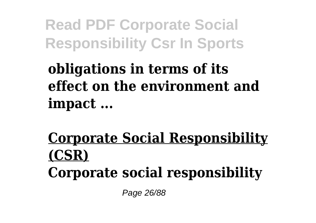#### **obligations in terms of its effect on the environment and impact ...**

#### **Corporate Social Responsibility (CSR) Corporate social responsibility**

Page 26/88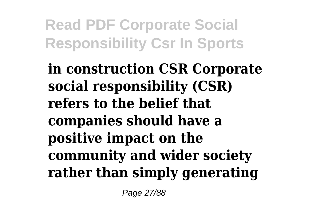**in construction CSR Corporate social responsibility (CSR) refers to the belief that companies should have a positive impact on the community and wider society rather than simply generating**

Page 27/88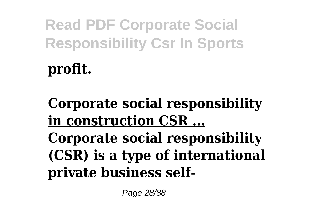**profit.**

**Corporate social responsibility in construction CSR ... Corporate social responsibility (CSR) is a type of international private business self-**

Page 28/88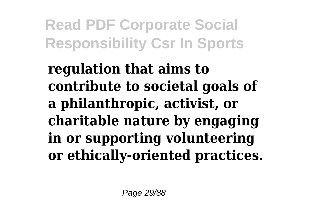**regulation that aims to contribute to societal goals of a philanthropic, activist, or charitable nature by engaging in or supporting volunteering or ethically-oriented practices.**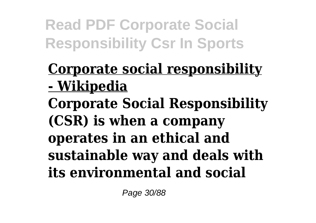#### **Corporate social responsibility - Wikipedia**

**Corporate Social Responsibility (CSR) is when a company operates in an ethical and sustainable way and deals with its environmental and social**

Page 30/88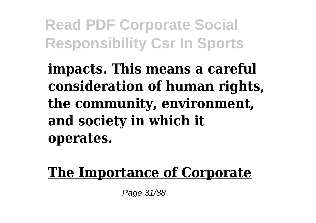**impacts. This means a careful consideration of human rights, the community, environment, and society in which it operates.**

**The Importance of Corporate**

Page 31/88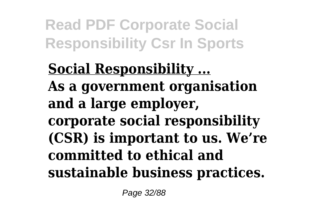**Social Responsibility ... As a government organisation and a large employer, corporate social responsibility (CSR) is important to us. We're committed to ethical and sustainable business practices.**

Page 32/88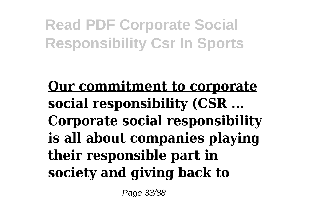#### **Our commitment to corporate social responsibility (CSR ... Corporate social responsibility is all about companies playing their responsible part in society and giving back to**

Page 33/88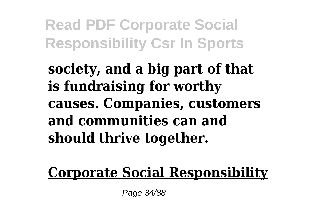**society, and a big part of that is fundraising for worthy causes. Companies, customers and communities can and should thrive together.**

**Corporate Social Responsibility**

Page 34/88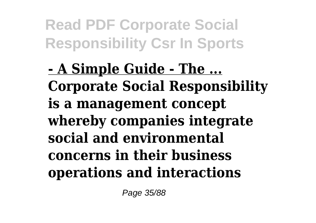**- A Simple Guide - The ... Corporate Social Responsibility is a management concept whereby companies integrate social and environmental concerns in their business operations and interactions**

Page 35/88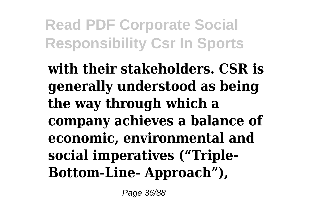**with their stakeholders. CSR is generally understood as being the way through which a company achieves a balance of economic, environmental and social imperatives ("Triple-Bottom-Line- Approach"),**

Page 36/88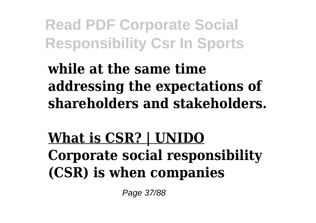**while at the same time addressing the expectations of shareholders and stakeholders.**

**What is CSR? | UNIDO Corporate social responsibility (CSR) is when companies**

Page 37/88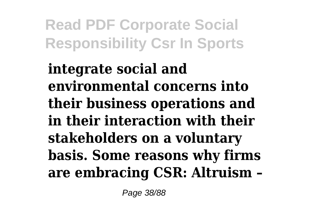**integrate social and environmental concerns into their business operations and in their interaction with their stakeholders on a voluntary basis. Some reasons why firms are embracing CSR: Altruism –**

Page 38/88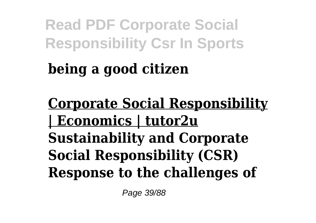# **being a good citizen**

**Corporate Social Responsibility | Economics | tutor2u Sustainability and Corporate Social Responsibility (CSR) Response to the challenges of**

Page 39/88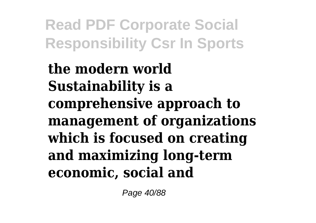**the modern world Sustainability is a comprehensive approach to management of organizations which is focused on creating and maximizing long-term economic, social and**

Page 40/88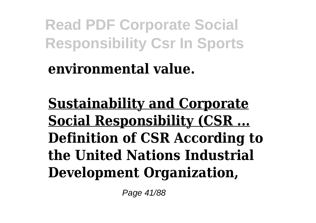#### **environmental value.**

**Sustainability and Corporate Social Responsibility (CSR ... Definition of CSR According to the United Nations Industrial Development Organization,**

Page 41/88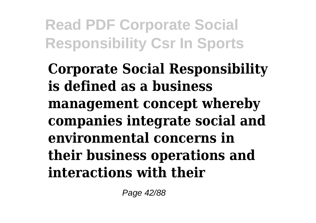**Corporate Social Responsibility is defined as a business management concept whereby companies integrate social and environmental concerns in their business operations and interactions with their**

Page 42/88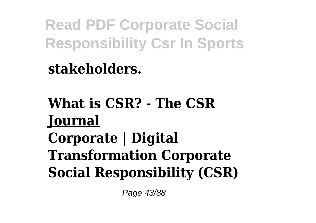**stakeholders.**

**What is CSR? - The CSR Journal Corporate | Digital Transformation Corporate Social Responsibility (CSR)**

Page 43/88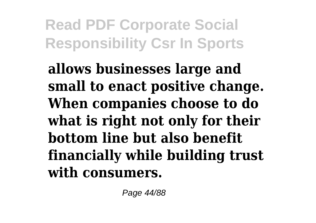**allows businesses large and small to enact positive change. When companies choose to do what is right not only for their bottom line but also benefit financially while building trust with consumers.**

Page 44/88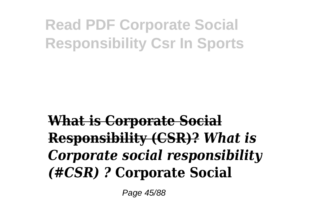### **What is Corporate Social Responsibility (CSR)?** *What is Corporate social responsibility (#CSR) ?* **Corporate Social**

Page 45/88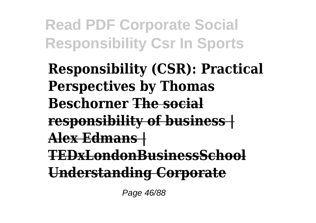**Responsibility (CSR): Practical Perspectives by Thomas Beschorner The social responsibility of business | Alex Edmans | TEDxLondonBusinessSchool Understanding Corporate**

Page 46/88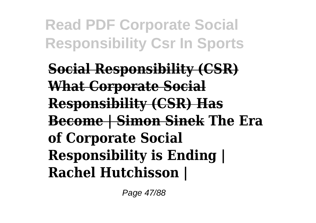**Social Responsibility (CSR) What Corporate Social Responsibility (CSR) Has Become | Simon Sinek The Era of Corporate Social Responsibility is Ending | Rachel Hutchisson |**

Page 47/88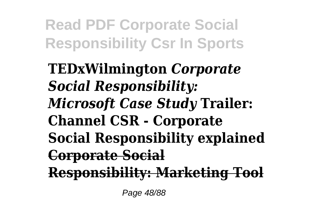**TEDxWilmington** *Corporate Social Responsibility: Microsoft Case Study* **Trailer: Channel CSR - Corporate Social Responsibility explained Corporate Social Responsibility: Marketing Tool**

Page 48/88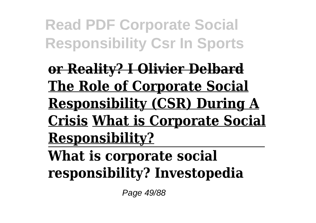**or Reality? I Olivier Delbard The Role of Corporate Social Responsibility (CSR) During A Crisis What is Corporate Social Responsibility?**

**What is corporate social responsibility? Investopedia**

Page 49/88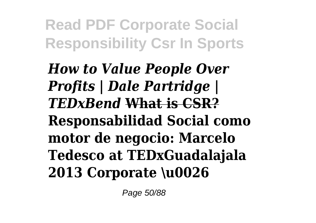*How to Value People Over Profits | Dale Partridge | TEDxBend* **What is CSR? Responsabilidad Social como motor de negocio: Marcelo Tedesco at TEDxGuadalajala 2013 Corporate \u0026**

Page 50/88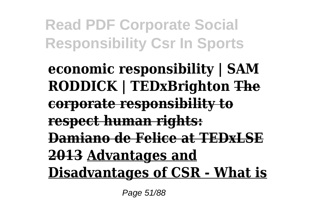**economic responsibility | SAM RODDICK | TEDxBrighton The corporate responsibility to respect human rights: Damiano de Felice at TEDxLSE 2013 Advantages and Disadvantages of CSR - What is**

Page 51/88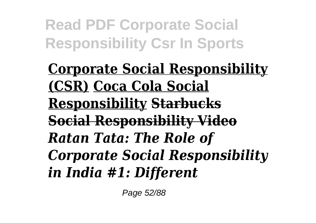**Corporate Social Responsibility (CSR) Coca Cola Social Responsibility Starbucks Social Responsibility Video** *Ratan Tata: The Role of Corporate Social Responsibility in India #1: Different*

Page 52/88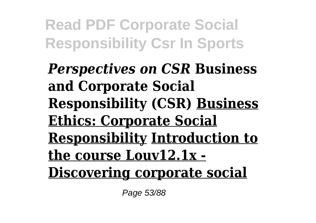*Perspectives on CSR* **Business and Corporate Social Responsibility (CSR) Business Ethics: Corporate Social Responsibility Introduction to the course Louv12.1x - Discovering corporate social**

Page 53/88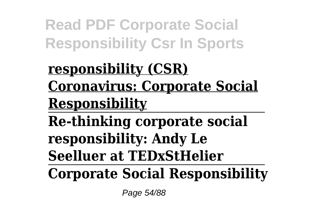## **responsibility (CSR) Coronavirus: Corporate Social Responsibility**

**Re-thinking corporate social responsibility: Andy Le Seelluer at TEDxStHelier**

**Corporate Social Responsibility**

Page 54/88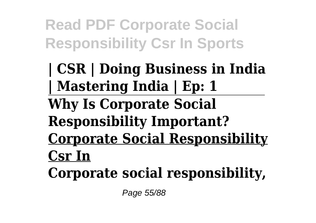**| CSR | Doing Business in India | Mastering India | Ep: 1 Why Is Corporate Social Responsibility Important? Corporate Social Responsibility Csr In Corporate social responsibility,**

Page 55/88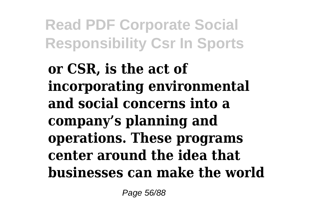**or CSR, is the act of incorporating environmental and social concerns into a company's planning and operations. These programs center around the idea that businesses can make the world**

Page 56/88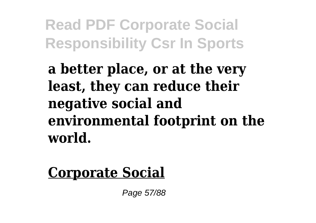**a better place, or at the very least, they can reduce their negative social and environmental footprint on the world.**

### **Corporate Social**

Page 57/88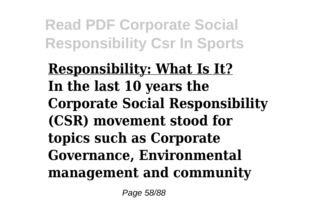**Responsibility: What Is It? In the last 10 years the Corporate Social Responsibility (CSR) movement stood for topics such as Corporate Governance, Environmental management and community**

Page 58/88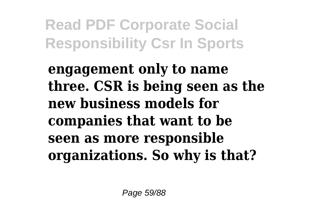**engagement only to name three. CSR is being seen as the new business models for companies that want to be seen as more responsible organizations. So why is that?**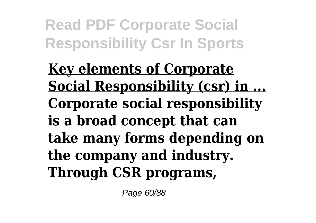**Key elements of Corporate Social Responsibility (csr) in ... Corporate social responsibility is a broad concept that can take many forms depending on the company and industry. Through CSR programs,**

Page 60/88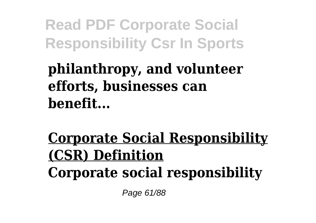### **philanthropy, and volunteer efforts, businesses can benefit...**

## **Corporate Social Responsibility (CSR) Definition Corporate social responsibility**

Page 61/88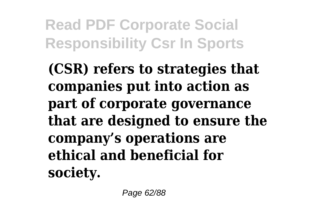**(CSR) refers to strategies that companies put into action as part of corporate governance that are designed to ensure the company's operations are ethical and beneficial for society.**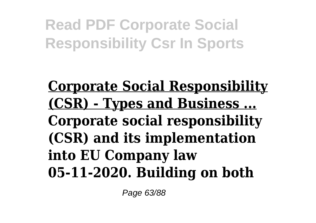### **Corporate Social Responsibility (CSR) - Types and Business ... Corporate social responsibility (CSR) and its implementation into EU Company law 05-11-2020. Building on both**

Page 63/88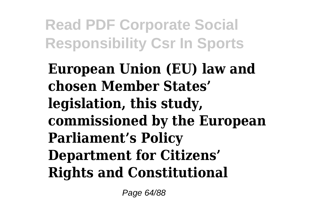**European Union (EU) law and chosen Member States' legislation, this study, commissioned by the European Parliament's Policy Department for Citizens' Rights and Constitutional**

Page 64/88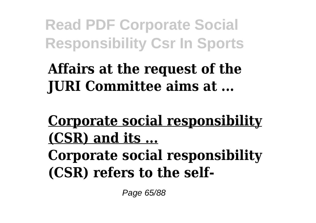**Affairs at the request of the JURI Committee aims at ...**

**Corporate social responsibility (CSR) and its ... Corporate social responsibility (CSR) refers to the self-**

Page 65/88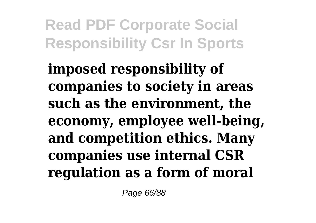**imposed responsibility of companies to society in areas such as the environment, the economy, employee well-being, and competition ethics. Many companies use internal CSR regulation as a form of moral**

Page 66/88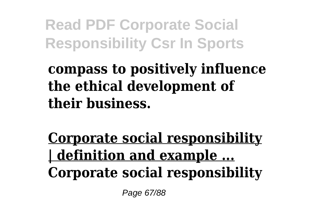### **compass to positively influence the ethical development of their business.**

### **Corporate social responsibility | definition and example ... Corporate social responsibility**

Page 67/88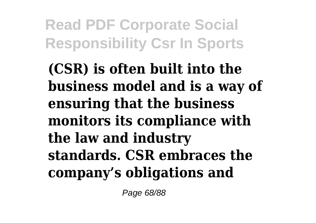**(CSR) is often built into the business model and is a way of ensuring that the business monitors its compliance with the law and industry standards. CSR embraces the company's obligations and**

Page 68/88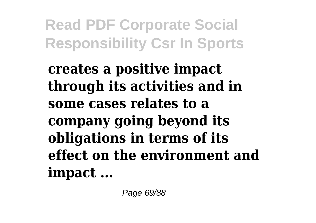**creates a positive impact through its activities and in some cases relates to a company going beyond its obligations in terms of its effect on the environment and impact ...**

Page 69/88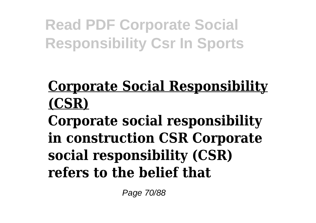### **Corporate Social Responsibility (CSR)**

**Corporate social responsibility in construction CSR Corporate social responsibility (CSR) refers to the belief that**

Page 70/88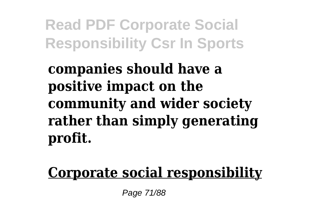**companies should have a positive impact on the community and wider society rather than simply generating profit.**

**Corporate social responsibility**

Page 71/88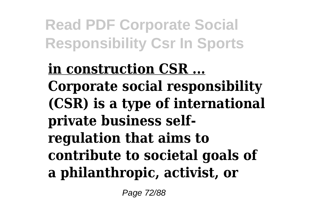**in construction CSR ... Corporate social responsibility (CSR) is a type of international private business selfregulation that aims to contribute to societal goals of a philanthropic, activist, or**

Page 72/88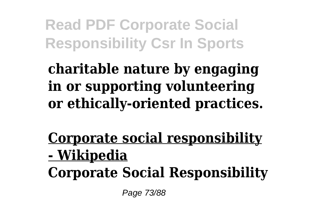**charitable nature by engaging in or supporting volunteering or ethically-oriented practices.**

**Corporate social responsibility - Wikipedia Corporate Social Responsibility**

Page 73/88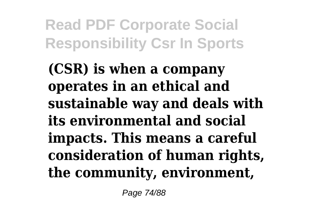**(CSR) is when a company operates in an ethical and sustainable way and deals with its environmental and social impacts. This means a careful consideration of human rights, the community, environment,**

Page 74/88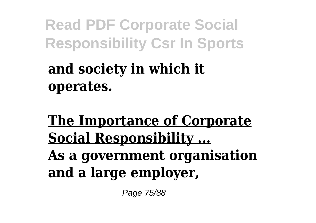# **and society in which it operates.**

**The Importance of Corporate Social Responsibility ... As a government organisation and a large employer,**

Page 75/88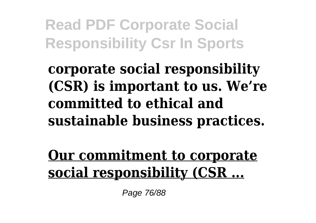**corporate social responsibility (CSR) is important to us. We're committed to ethical and sustainable business practices.**

**Our commitment to corporate social responsibility (CSR ...**

Page 76/88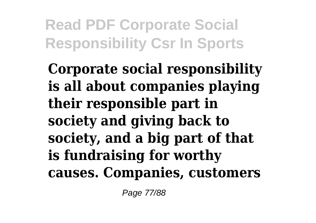**Corporate social responsibility is all about companies playing their responsible part in society and giving back to society, and a big part of that is fundraising for worthy causes. Companies, customers**

Page 77/88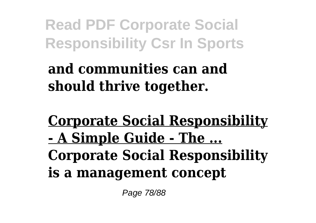**and communities can and should thrive together.**

**Corporate Social Responsibility - A Simple Guide - The ... Corporate Social Responsibility is a management concept**

Page 78/88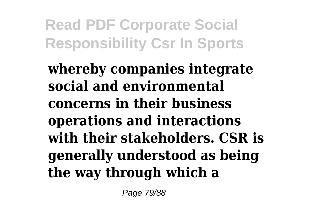**whereby companies integrate social and environmental concerns in their business operations and interactions with their stakeholders. CSR is generally understood as being the way through which a**

Page 79/88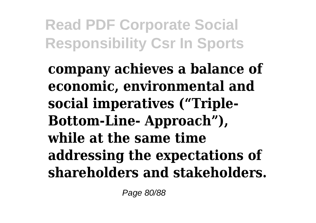**company achieves a balance of economic, environmental and social imperatives ("Triple-Bottom-Line- Approach"), while at the same time addressing the expectations of shareholders and stakeholders.**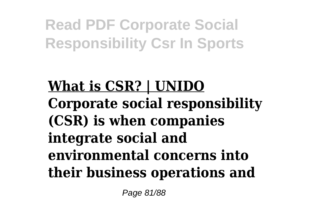**What is CSR? | UNIDO Corporate social responsibility (CSR) is when companies integrate social and environmental concerns into their business operations and**

Page 81/88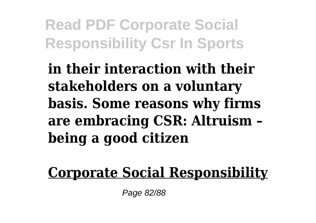**in their interaction with their stakeholders on a voluntary basis. Some reasons why firms are embracing CSR: Altruism – being a good citizen**

**Corporate Social Responsibility**

Page 82/88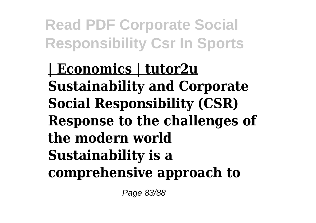**| Economics | tutor2u Sustainability and Corporate Social Responsibility (CSR) Response to the challenges of the modern world Sustainability is a comprehensive approach to**

Page 83/88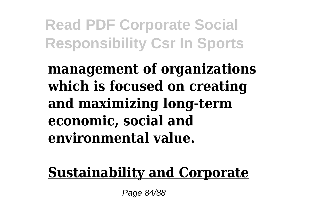**management of organizations which is focused on creating and maximizing long-term economic, social and environmental value.**

### **Sustainability and Corporate**

Page 84/88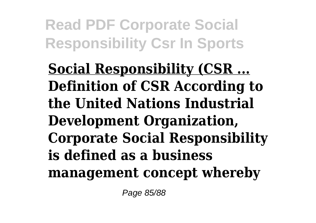**Social Responsibility (CSR ... Definition of CSR According to the United Nations Industrial Development Organization, Corporate Social Responsibility is defined as a business management concept whereby**

Page 85/88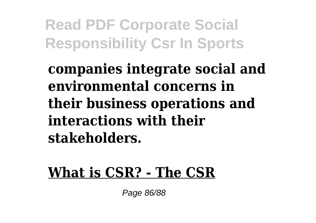## **companies integrate social and environmental concerns in their business operations and interactions with their stakeholders.**

#### **What is CSR? - The CSR**

Page 86/88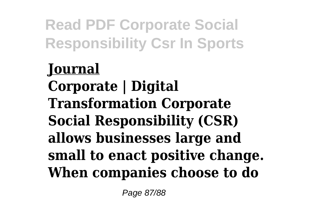# **Journal Corporate | Digital Transformation Corporate Social Responsibility (CSR) allows businesses large and small to enact positive change. When companies choose to do**

Page 87/88